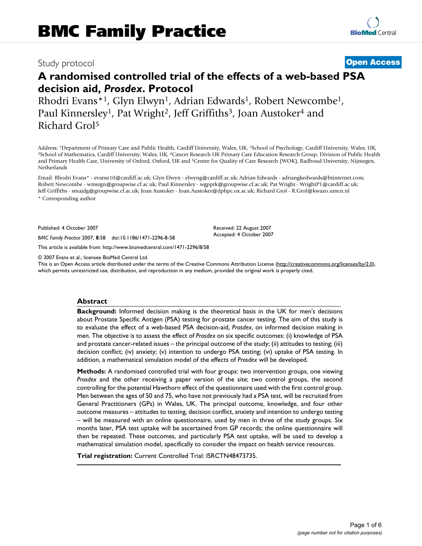# Study protocol **[Open Access](http://www.biomedcentral.com/info/about/charter/)**

# **A randomised controlled trial of the effects of a web-based PSA decision aid,** *Prosdex***. Protocol**

Rhodri Evans<sup>\*1</sup>, Glyn Elwyn<sup>1</sup>, Adrian Edwards<sup>1</sup>, Robert Newcombe<sup>1</sup>, Paul Kinnersley<sup>1</sup>, Pat Wright<sup>2</sup>, Jeff Griffiths<sup>3</sup>, Joan Austoker<sup>4</sup> and Richard Grol5

Address: <sup>1</sup>Department of Primary Care and Public Health, Cardiff University, Wales, UK, <sup>2</sup>School of Psychology, Cardiff University, Wales, UK, <sup>3</sup>School of Mathematics, Cardiff University, Wales, Wales, Wales, Wales, Wal and Primary Health Care, University of Oxford, Oxford, UK and 5Centre for Quality of Care Research (WOK), Radboud University, Nijmegen, Netherlands

Email: Rhodri Evans\* - evansr10@cardiff.ac.uk; Glyn Elwyn - elwyng@cardiff.ac.uk; Adrian Edwards - adriangkedwards@btinternet.com; Robert Newcombe - wmsrgn@groupwise.cf.ac.uk; Paul Kinnersley - wgpprk@groupwise.cf.ac.uk; Pat Wright - WrightP1@cardiff.ac.uk; Jeff Griffiths - smajdg@groupwise.cf.ac.uk; Joan Austoker - Joan.Austoker@dphpc.ox.ac.uk; Richard Grol - R.Grol@kwazo.umcn.nl \* Corresponding author

Published: 4 October 2007

*BMC Family Practice* 2007, **8**:58 doi:10.1186/1471-2296-8-58

[This article is available from: http://www.biomedcentral.com/1471-2296/8/58](http://www.biomedcentral.com/1471-2296/8/58)

© 2007 Evans et al.; licensee BioMed Central Ltd.

This is an Open Access article distributed under the terms of the Creative Commons Attribution License [\(http://creativecommons.org/licenses/by/2.0\)](http://creativecommons.org/licenses/by/2.0), which permits unrestricted use, distribution, and reproduction in any medium, provided the original work is properly cited.

Received: 22 August 2007 Accepted: 4 October 2007

#### **Abstract**

**Background:** Informed decision making is the theoretical basis in the UK for men's decisions about Prostate Specific Antigen (PSA) testing for prostate cancer testing. The aim of this study is to evaluate the effect of a web-based PSA decision-aid, *Prosdex*, on informed decision making in men. The objective is to assess the effect of *Prosdex* on six specific outcomes: (i) knowledge of PSA and prostate cancer-related issues – the principal outcome of the study; (ii) attitudes to testing; (iii) decision conflict; (iv) anxiety; (v) intention to undergo PSA testing; (vi) uptake of PSA testing. In addition, a mathematical simulation model of the effects of *Prosdex* will be developed.

**Methods:** A randomised controlled trial with four groups: two intervention groups, one viewing *Prosdex* and the other receiving a paper version of the site; two control groups, the second controlling for the potential Hawthorn effect of the questionnaire used with the first control group. Men between the ages of 50 and 75, who have not previously had a PSA test, will be recruited from General Practitioners (GPs) in Wales, UK. The principal outcome, knowledge, and four other outcome measures – attitudes to testing, decision conflict, anxiety and intention to undergo testing – will be measured with an online questionnaire, used by men in three of the study groups. Six months later, PSA test uptake will be ascertained from GP records; the online questionnaire will then be repeated. These outcomes, and particularly PSA test uptake, will be used to develop a mathematical simulation model, specifically to consider the impact on health service resources.

**Trial registration:** Current Controlled Trial: ISRCTN48473735.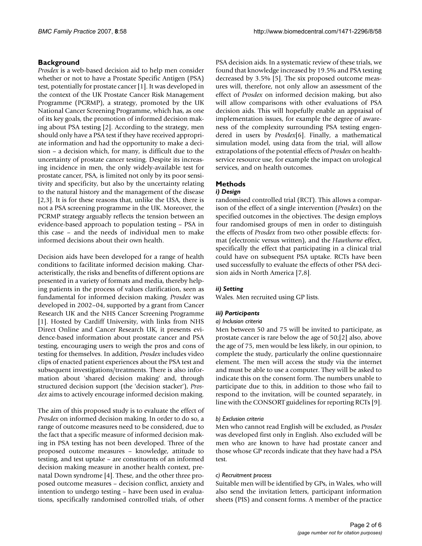# **Background**

*Prosdex* is a web-based decision aid to help men consider whether or not to have a Prostate Specific Antigen (PSA) test, potentially for prostate cancer [1]. It was developed in the context of the UK Prostate Cancer Risk Management Programme (PCRMP), a strategy, promoted by the UK National Cancer Screening Programme, which has, as one of its key goals, the promotion of informed decision making about PSA testing [2]. According to the strategy, men should only have a PSA test if they have received appropriate information and had the opportunity to make a decision – a decision which, for many, is difficult due to the uncertainty of prostate cancer testing. Despite its increasing incidence in men, the only widely-available test for prostate cancer, PSA, is limited not only by its poor sensitivity and specificity, but also by the uncertainty relating to the natural history and the management of the disease [2,3]. It is for these reasons that, unlike the USA, there is not a PSA screening programme in the UK. Moreover, the PCRMP strategy arguably reflects the tension between an evidence-based approach to population testing – PSA in this case – and the needs of individual men to make informed decisions about their own health.

Decision aids have been developed for a range of health conditions to facilitate informed decision making. Characteristically, the risks and benefits of different options are presented in a variety of formats and media, thereby helping patients in the process of values clarification, seen as fundamental for informed decision making. *Prosdex* was developed in 2002–04, supported by a grant from Cancer Research UK and the NHS Cancer Screening Programme [1]. Hosted by Cardiff University, with links from NHS Direct Online and Cancer Research UK, it presents evidence-based information about prostate cancer and PSA testing, encouraging users to weigh the pros and cons of testing for themselves. In addition, *Prosdex* includes video clips of enacted patient experiences about the PSA test and subsequent investigations/treatments. There is also information about 'shared decision making' and, through structured decision support (the 'decision stacker'), *Prosdex* aims to actively encourage informed decision making.

The aim of this proposed study is to evaluate the effect of *Prosdex* on informed decision making. In order to do so, a range of outcome measures need to be considered, due to the fact that a specific measure of informed decision making in PSA testing has not been developed. Three of the proposed outcome measures – knowledge, attitude to testing, and test uptake – are constituents of an informed decision making measure in another health context, prenatal Down syndrome [4]. These, and the other three proposed outcome measures – decision conflict, anxiety and intention to undergo testing – have been used in evaluations, specifically randomised controlled trials, of other

PSA decision aids. In a systematic review of these trials, we found that knowledge increased by 19.5% and PSA testing decreased by 3.5% [5]. The six proposed outcome measures will, therefore, not only allow an assessment of the effect of *Prosdex* on informed decision making, but also will allow comparisons with other evaluations of PSA decision aids. This will hopefully enable an appraisal of implementation issues, for example the degree of awareness of the complexity surrounding PSA testing engendered in users by *Prosdex*[6]. Finally, a mathematical simulation model, using data from the trial, will allow extrapolations of the potential effects of *Prosdex* on healthservice resource use, for example the impact on urological services, and on health outcomes.

# **Methods**

# *i) Design*

randomised controlled trial (RCT). This allows a comparison of the effect of a single intervention (*Prosdex*) on the specified outcomes in the objectives. The design employs four randomised groups of men in order to distinguish the effects of *Prosdex* from two other possible effects: format (electronic versus written), and the *Hawthorne* effect, specifically the effect that participating in a clinical trial could have on subsequent PSA uptake. RCTs have been used successfully to evaluate the effects of other PSA decision aids in North America [7,8].

# *ii) Setting*

Wales. Men recruited using GP lists.

# *iii) Participants*

#### *a) Inclusion criteria*

Men between 50 and 75 will be invited to participate, as prostate cancer is rare below the age of 50;[2] also, above the age of 75, men would be less likely, in our opinion, to complete the study, particularly the online questionnaire element. The men will access the study via the internet and must be able to use a computer. They will be asked to indicate this on the consent form. The numbers unable to participate due to this, in addition to those who fail to respond to the invitation, will be counted separately, in line with the CONSORT guidelines for reporting RCTs [9].

#### *b) Exclusion criteria*

Men who cannot read English will be excluded, as *Prosdex* was developed first only in English. Also excluded will be men who are known to have had prostate cancer and those whose GP records indicate that they have had a PSA test.

#### *c) Recruitment process*

Suitable men will be identified by GPs, in Wales, who will also send the invitation letters, participant information sheets (PIS) and consent forms. A member of the practice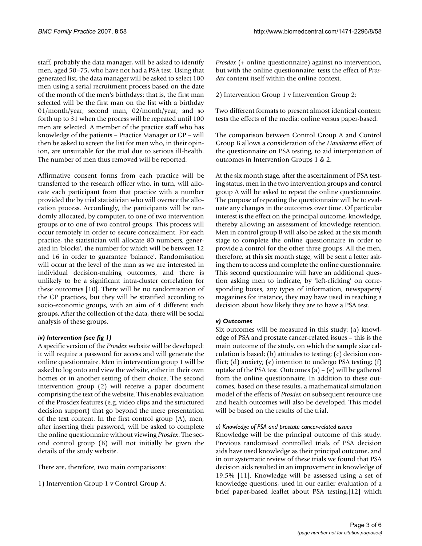staff, probably the data manager, will be asked to identify men, aged 50–75, who have not had a PSA test. Using that generated list, the data manager will be asked to select 100 men using a serial recruitment process based on the date of the month of the men's birthdays: that is, the first man selected will be the first man on the list with a birthday 01/month/year; second man, 02/month/year; and so forth up to 31 when the process will be repeated until 100 men are selected. A member of the practice staff who has knowledge of the patients – Practice Manager or GP – will then be asked to screen the list for men who, in their opinion, are unsuitable for the trial due to serious ill-health. The number of men thus removed will be reported.

Affirmative consent forms from each practice will be transferred to the research officer who, in turn, will allocate each participant from that practice with a number provided the by trial statistician who will oversee the allocation process. Accordingly, the participants will be randomly allocated, by computer, to one of two intervention groups or to one of two control groups. This process will occur remotely in order to secure concealment. For each practice, the statistician will allocate 80 numbers, generated in 'blocks', the number for which will be between 12 and 16 in order to guarantee 'balance'. Randomisation will occur at the level of the man as we are interested in individual decision-making outcomes, and there is unlikely to be a significant intra-cluster correlation for these outcomes [10]. There will be no randomisation of the GP practices, but they will be stratified according to socio-economic groups, with an aim of 4 different such groups. After the collection of the data, there will be social analysis of these groups.

# *iv) Intervention (see fig 1)*

A specific version of the *Prosdex* website will be developed: it will require a password for access and will generate the online questionnaire. Men in intervention group 1 will be asked to log onto and view the website, either in their own homes or in another setting of their choice. The second intervention group (2) will receive a paper document comprising the text of the website. This enables evaluation of the Prosdex features (e.g. video clips and the structured decision support) that go beyond the mere presentation of the text content. In the first control group (A), men, after inserting their password, will be asked to complete the online questionnaire without viewing *Prosdex*. The second control group (B) will not initially be given the details of the study website.

There are, therefore, two main comparisons:

1) Intervention Group 1 v Control Group A:

*Prosdex* (+ online questionnaire) against no intervention, but with the online questionnaire: tests the effect of *Prosdex* content itself within the online context.

2) Intervention Group 1 v Intervention Group 2:

Two different formats to present almost identical content: tests the effects of the media: online versus paper-based.

The comparison between Control Group A and Control Group B allows a consideration of the *Hawthorne* effect of the questionnaire on PSA testing, to aid interpretation of outcomes in Intervention Groups 1 & 2.

At the six month stage, after the ascertainment of PSA testing status, men in the two intervention groups and control group A will be asked to repeat the online questionnaire. The purpose of repeating the questionnaire will be to evaluate any changes in the outcomes over time. Of particular interest is the effect on the principal outcome, knowledge, thereby allowing an assessment of knowledge retention. Men in control group B will also be asked at the six month stage to complete the online questionnaire in order to provide a control for the other three groups. All the men, therefore, at this six month stage, will be sent a letter asking them to access and complete the online questionnaire. This second questionnaire will have an additional question asking men to indicate, by 'left-clicking' on corresponding boxes, any types of information, newspapers/ magazines for instance, they may have used in reaching a decision about how likely they are to have a PSA test.

# *v) Outcomes*

Six outcomes will be measured in this study: (a) knowledge of PSA and prostate cancer-related issues – this is the main outcome of the study, on which the sample size calculation is based; (b) attitudes to testing; (c) decision conflict; (d) anxiety; (e) intention to undergo PSA testing; (f) uptake of the PSA test. Outcomes (a) – (e) will be gathered from the online questionnaire. In addition to these outcomes, based on these results, a mathematical simulation model of the effects of *Prosdex* on subsequent resource use and health outcomes will also be developed. This model will be based on the results of the trial.

#### *a) Knowledge of PSA and prostate cancer-related issues*

Knowledge will be the principal outcome of this study. Previous randomised controlled trials of PSA decision aids have used knowledge as their principal outcome, and in our systematic review of these trials we found that PSA decision aids resulted in an improvement in knowledge of 19.5% [11]. Knowledge will be assessed using a set of knowledge questions, used in our earlier evaluation of a brief paper-based leaflet about PSA testing,[12] which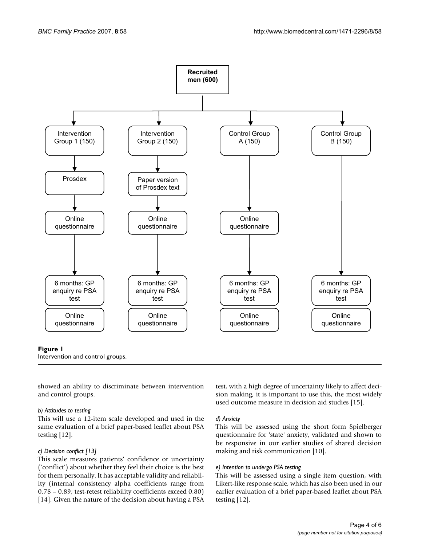

#### **Figure 1**

Intervention and control groups.

showed an ability to discriminate between intervention and control groups.

# *b) Attitudes to testing*

This will use a 12-item scale developed and used in the same evaluation of a brief paper-based leaflet about PSA testing [12].

# *c) Decision conflict [13]*

This scale measures patients' confidence or uncertainty ('conflict') about whether they feel their choice is the best for them personally. It has acceptable validity and reliability (internal consistency alpha coefficients range from 0.78 – 0.89; test-retest reliability coefficients exceed 0.80) [14]. Given the nature of the decision about having a PSA

test, with a high degree of uncertainty likely to affect decision making, it is important to use this, the most widely used outcome measure in decision aid studies [15].

# *d) Anxiety*

This will be assessed using the short form Spielberger questionnaire for 'state' anxiety, validated and shown to be responsive in our earlier studies of shared decision making and risk communication [10].

# *e) Intention to undergo PSA testing*

This will be assessed using a single item question, with Likert-like response scale, which has also been used in our earlier evaluation of a brief paper-based leaflet about PSA testing [12].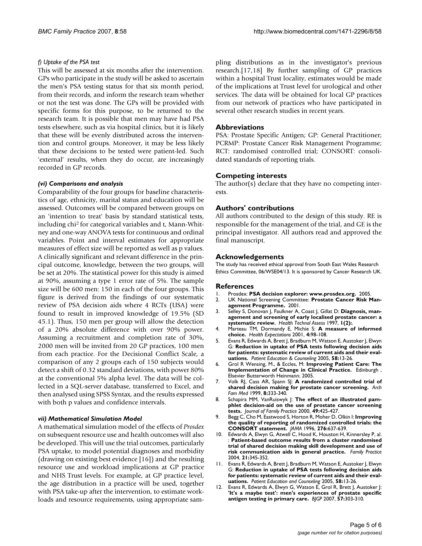## *f) Uptake of the PSA test*

This will be assessed at six months after the intervention. GPs who participate in the study will be asked to ascertain the men's PSA testing status for that six month period, from their records, and inform the research team whether or not the test was done. The GPs will be provided with specific forms for this purpose, to be returned to the research team. It is possible that men may have had PSA tests elsewhere, such as via hospital clinics, but it is likely that these will be evenly distributed across the intervention and control groups. Moreover, it may be less likely that these decisions to be tested were patient-led. Such 'external' results, when they do occur, are increasingly recorded in GP records.

### *(vi) Comparisons and analysis*

Comparability of the four groups for baseline characteristics of age, ethnicity, marital status and education will be assessed. Outcomes will be compared between groups on an 'intention to treat' basis by standard statistical tests, including chi2 for categorical variables and t, Mann-Whitney and one-way ANOVA tests for continuous and ordinal variables. Point and interval estimates for appropriate measures of effect size will be reported as well as p values. A clinically significant and relevant difference in the principal outcome, knowledge, between the two groups, will be set at 20%. The statistical power for this study is aimed at 90%, assuming a type 1 error rate of 5%. The sample size will be 600 men: 150 in each of the four groups. This figure is derived from the findings of our systematic review of PSA decision aids where 4 RCTs (USA) were found to result in improved knowledge of 19.5% (SD 45.1). Thus, 150 men per group will allow the detection of a 20% absolute difference with over 90% power. Assuming a recruitment and completion rate of 30%, 2000 men will be invited from 20 GP practices, 100 men from each practice. For the Decisional Conflict Scale, a comparison of any 2 groups each of 150 subjects would detect a shift of 0.32 standard deviations, with power 80% at the conventional 5% alpha level. The data will be collected in a SQL-server database, transferred to Excel, and then analysed using SPSS Syntax, and the results expressed with both p values and confidence intervals.

#### *vii) Mathematical Simulation Model*

A mathematical simulation model of the effects of *Prosdex* on subsequent resource use and health outcomes will also be developed. This will use the trial outcomes, particularly PSA uptake, to model potential diagnoses and morbidity (drawing on existing best evidence [16]) and the resulting resource use and workload implications at GP practice and NHS Trust levels. For example, at GP practice level, the age distribution in a practice will be used, together with PSA take-up after the intervention, to estimate workloads and resource requirements, using appropriate sampling distributions as in the investigator's previous research.[17,18] By further sampling of GP practices within a hospital Trust locality, estimates would be made of the implications at Trust level for urological and other services. The data will be obtained for local GP practices from our network of practices who have participated in several other research studies in recent years.

### **Abbreviations**

PSA: Prostate Specific Antigen; GP: General Practitioner; PCRMP: Prostate Cancer Risk Management Programme; RCT: randomised controlled trial; CONSORT: consolidated standards of reporting trials.

### **Competing interests**

The author(s) declare that they have no competing interests.

### **Authors' contributions**

All authors contributed to the design of this study. RE is responsible for the management of the trial, and GE is the principal investigator. All authors read and approved the final manuscript.

#### **Acknowledgements**

The study has received ethical approval from South East Wales Research Ethics Committee, 06/WSE04/13. It is sponsored by Cancer Research UK.

#### **References**

- 1. Prosdex: **PSA decision explorer: www.prosdex.org.** 2005.
- UK National Screening Committee: Prostate Cancer Risk Man**agement Programme.** 2001.
- 3. Selley S, Donovan J, Faulkner A, Coast J, Gillat D: **[Diagnosis, man](http://www.ncbi.nlm.nih.gov/entrez/query.fcgi?cmd=Retrieve&db=PubMed&dopt=Abstract&list_uids=9414541)[agement and screening of early localised prostate cancer: a](http://www.ncbi.nlm.nih.gov/entrez/query.fcgi?cmd=Retrieve&db=PubMed&dopt=Abstract&list_uids=9414541) [systematic review.](http://www.ncbi.nlm.nih.gov/entrez/query.fcgi?cmd=Retrieve&db=PubMed&dopt=Abstract&list_uids=9414541)** *Health Technol Assess* 1997, **1(2):**.
- 4. Marteau TM, Dormandy E, Michie S: **A measure of informed choice.** *Health Expectations* 2001, **4:**98-108.
- 5. Evans R, Edwards A, Brett J, Bradburn M, Watson E, Austoker J, Elwyn G: **Reduction in uptake of PSA tests following decision aids for patients: systematic review of current aids and their evaluations.** *Patient Education & Counseling* 2005, **58:**13-26.
- 6. Grol R Wensing, M., & Eccles, M: **Improving Patient Care: The Implementation of Change in Clinical Practice.** Edinburgh , Elsevier Butterworth Heinmann; 2005.
- 7. Volk RJ, Cass AR, Spann SJ: **[A randomized controlled trial of](http://www.ncbi.nlm.nih.gov/entrez/query.fcgi?cmd=Retrieve&db=PubMed&dopt=Abstract&list_uids=10418541) [shared decision making for prostate cancer screening.](http://www.ncbi.nlm.nih.gov/entrez/query.fcgi?cmd=Retrieve&db=PubMed&dopt=Abstract&list_uids=10418541)** *Arch Fam Med* 1999, **8:**333-340.
- 8. Schapira MM, VanRuiswyk J: **[The effect of an illustrated pam](http://www.ncbi.nlm.nih.gov/entrez/query.fcgi?cmd=Retrieve&db=PubMed&dopt=Abstract&list_uids=10836773)[phlet decision-aid on the use of prostate cancer screening](http://www.ncbi.nlm.nih.gov/entrez/query.fcgi?cmd=Retrieve&db=PubMed&dopt=Abstract&list_uids=10836773) [tests.](http://www.ncbi.nlm.nih.gov/entrez/query.fcgi?cmd=Retrieve&db=PubMed&dopt=Abstract&list_uids=10836773)** *Journal of Family Practice* 2000, **49:**425-427.
- 9. Begg C, Cho M, Eastwood S, Horton R, Moher D, Olkin I: **[Improving](http://www.ncbi.nlm.nih.gov/entrez/query.fcgi?cmd=Retrieve&db=PubMed&dopt=Abstract&list_uids=8773637) [the quality of reporting of randomized controlled trials: the](http://www.ncbi.nlm.nih.gov/entrez/query.fcgi?cmd=Retrieve&db=PubMed&dopt=Abstract&list_uids=8773637) [CONSORT statement.](http://www.ncbi.nlm.nih.gov/entrez/query.fcgi?cmd=Retrieve&db=PubMed&dopt=Abstract&list_uids=8773637)** *JAMA* 1996, **276:**637-639.
- 10. Edwards A, Elwyn G, Atwell C, Hood K, Houston H, Kinnersley P, al. : **Patient-based outcome results from a cluster randomised trial of shared decision making skill development and use of risk communication aids in general practice.** *Family Practice* 2004, **21:**345-352.
- 11. Evans R, Edwards A, Brett J, Bradburn M, Watson E, Austoker J, Elwyn G: **Reduction in uptake of PSA tests following decision aids for patients: systematic review of current aids and their evaluations.** *Patient Education and Counseling* 2005, **58:**13-26.
- 12. Evans R, Edwards A, Elwyn G, Watson E, Grol R, Brett J, Austoker J: **'It's a maybe test': men's experiences of prostate specific antigen testing in primary care.** *BJGP* 2007, **57:**303-310.